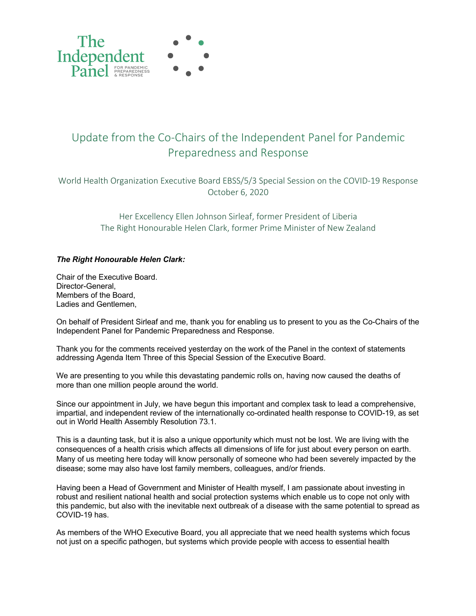

## Update from the Co-Chairs of the Independent Panel for Pandemic Preparedness and Response

World Health Organization Executive Board EBSS/5/3 Special Session on the COVID-19 Response October 6, 2020

> Her Excellency Ellen Johnson Sirleaf, former President of Liberia The Right Honourable Helen Clark, former Prime Minister of New Zealand

## *The Right Honourable Helen Clark:*

Chair of the Executive Board. Director-General, Members of the Board, Ladies and Gentlemen,

On behalf of President Sirleaf and me, thank you for enabling us to present to you as the Co-Chairs of the Independent Panel for Pandemic Preparedness and Response.

Thank you for the comments received yesterday on the work of the Panel in the context of statements addressing Agenda Item Three of this Special Session of the Executive Board.

We are presenting to you while this devastating pandemic rolls on, having now caused the deaths of more than one million people around the world.

Since our appointment in July, we have begun this important and complex task to lead a comprehensive, impartial, and independent review of the internationally co-ordinated health response to COVID-19, as set out in World Health Assembly Resolution 73.1.

This is a daunting task, but it is also a unique opportunity which must not be lost. We are living with the consequences of a health crisis which affects all dimensions of life for just about every person on earth. Many of us meeting here today will know personally of someone who had been severely impacted by the disease; some may also have lost family members, colleagues, and/or friends.

Having been a Head of Government and Minister of Health myself, I am passionate about investing in robust and resilient national health and social protection systems which enable us to cope not only with this pandemic, but also with the inevitable next outbreak of a disease with the same potential to spread as COVID-19 has.

As members of the WHO Executive Board, you all appreciate that we need health systems which focus not just on a specific pathogen, but systems which provide people with access to essential health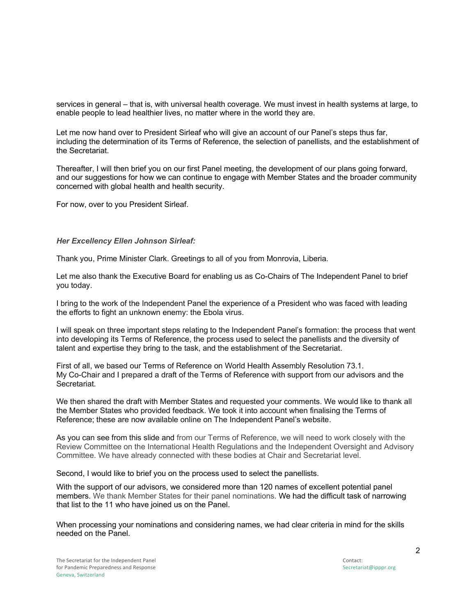services in general – that is, with universal health coverage. We must invest in health systems at large, to enable people to lead healthier lives, no matter where in the world they are.

Let me now hand over to President Sirleaf who will give an account of our Panel's steps thus far, including the determination of its Terms of Reference, the selection of panellists, and the establishment of the Secretariat.

Thereafter, I will then brief you on our first Panel meeting, the development of our plans going forward, and our suggestions for how we can continue to engage with Member States and the broader community concerned with global health and health security.

For now, over to you President Sirleaf.

## *Her Excellency Ellen Johnson Sirleaf:*

Thank you, Prime Minister Clark. Greetings to all of you from Monrovia, Liberia.

Let me also thank the Executive Board for enabling us as Co-Chairs of The Independent Panel to brief you today.

I bring to the work of the Independent Panel the experience of a President who was faced with leading the efforts to fight an unknown enemy: the Ebola virus.

I will speak on three important steps relating to the Independent Panel's formation: the process that went into developing its Terms of Reference, the process used to select the panellists and the diversity of talent and expertise they bring to the task, and the establishment of the Secretariat.

First of all, we based our Terms of Reference on World Health Assembly Resolution 73.1. My Co-Chair and I prepared a draft of the Terms of Reference with support from our advisors and the Secretariat.

We then shared the draft with Member States and requested your comments. We would like to thank all the Member States who provided feedback. We took it into account when finalising the Terms of Reference; these are now available online on The Independent Panel's website.

As you can see from this slide and from our Terms of Reference, we will need to work closely with the Review Committee on the International Health Regulations and the Independent Oversight and Advisory Committee. We have already connected with these bodies at Chair and Secretariat level.

Second, I would like to brief you on the process used to select the panellists.

With the support of our advisors, we considered more than 120 names of excellent potential panel members. We thank Member States for their panel nominations. We had the difficult task of narrowing that list to the 11 who have joined us on the Panel.

When processing your nominations and considering names, we had clear criteria in mind for the skills needed on the Panel.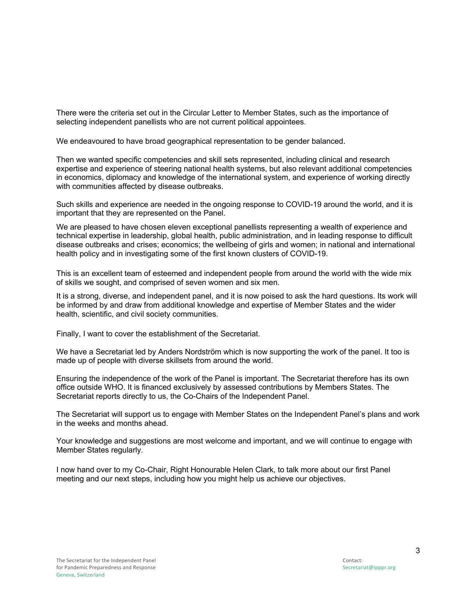There were the criteria set out in the Circular Letter to Member States, such as the importance of selecting independent panellists who are not current political appointees.

We endeavoured to have broad geographical representation to be gender balanced.

Then we wanted specific competencies and skill sets represented, including clinical and research expertise and experience of steering national health systems, but also relevant additional competencies in economics, diplomacy and knowledge of the international system, and experience of working directly with communities affected by disease outbreaks.

Such skills and experience are needed in the ongoing response to COVID-19 around the world, and it is important that they are represented on the Panel.

We are pleased to have chosen eleven exceptional panellists representing a wealth of experience and technical expertise in leadership, global health, public administration, and in leading response to difficult disease outbreaks and crises; economics; the wellbeing of girls and women; in national and international health policy and in investigating some of the first known clusters of COVID-19.

This is an excellent team of esteemed and independent people from around the world with the wide mix of skills we sought, and comprised of seven women and six men.

It is a strong, diverse, and independent panel, and it is now poised to ask the hard questions. Its work will be informed by and draw from additional knowledge and expertise of Member States and the wider health, scientific, and civil society communities.

Finally, I want to cover the establishment of the Secretariat.

We have a Secretariat led by Anders Nordström which is now supporting the work of the panel. It too is made up of people with diverse skillsets from around the world.

Ensuring the independence of the work of the Panel is important. The Secretariat therefore has its own office outside WHO. It is financed exclusively by assessed contributions by Members States. The Secretariat reports directly to us, the Co-Chairs of the Independent Panel.

The Secretariat will support us to engage with Member States on the Independent Panel's plans and work in the weeks and months ahead.

Your knowledge and suggestions are most welcome and important, and we will continue to engage with Member States regularly.

I now hand over to my Co-Chair, Right Honourable Helen Clark, to talk more about our first Panel meeting and our next steps, including how you might help us achieve our objectives.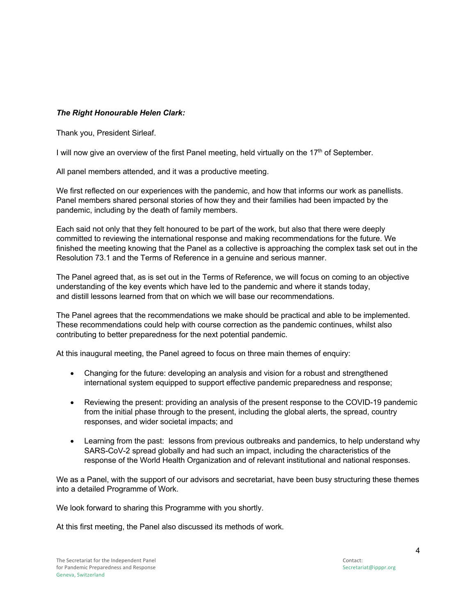## *The Right Honourable Helen Clark:*

Thank you, President Sirleaf.

I will now give an overview of the first Panel meeting, held virtually on the  $17<sup>th</sup>$  of September.

All panel members attended, and it was a productive meeting.

We first reflected on our experiences with the pandemic, and how that informs our work as panellists. Panel members shared personal stories of how they and their families had been impacted by the pandemic, including by the death of family members.

Each said not only that they felt honoured to be part of the work, but also that there were deeply committed to reviewing the international response and making recommendations for the future. We finished the meeting knowing that the Panel as a collective is approaching the complex task set out in the Resolution 73.1 and the Terms of Reference in a genuine and serious manner.

The Panel agreed that, as is set out in the Terms of Reference, we will focus on coming to an objective understanding of the key events which have led to the pandemic and where it stands today, and distill lessons learned from that on which we will base our recommendations.

The Panel agrees that the recommendations we make should be practical and able to be implemented. These recommendations could help with course correction as the pandemic continues, whilst also contributing to better preparedness for the next potential pandemic.

At this inaugural meeting, the Panel agreed to focus on three main themes of enquiry:

- Changing for the future: developing an analysis and vision for a robust and strengthened international system equipped to support effective pandemic preparedness and response;
- Reviewing the present: providing an analysis of the present response to the COVID-19 pandemic from the initial phase through to the present, including the global alerts, the spread, country responses, and wider societal impacts; and
- Learning from the past: lessons from previous outbreaks and pandemics, to help understand why SARS-CoV-2 spread globally and had such an impact, including the characteristics of the response of the World Health Organization and of relevant institutional and national responses.

We as a Panel, with the support of our advisors and secretariat, have been busy structuring these themes into a detailed Programme of Work.

We look forward to sharing this Programme with you shortly.

At this first meeting, the Panel also discussed its methods of work.